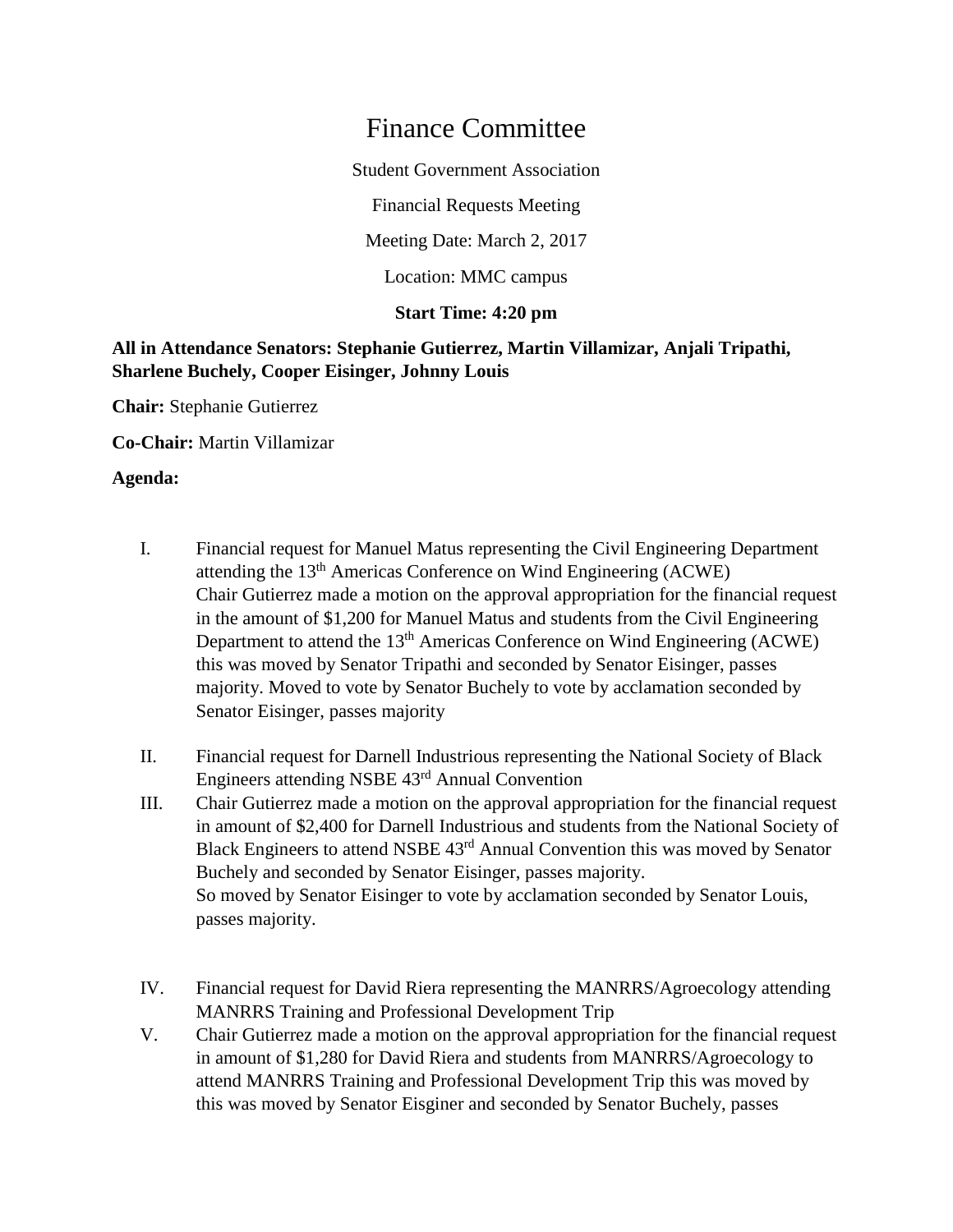# Finance Committee

Student Government Association

Financial Requests Meeting

Meeting Date: March 2, 2017

Location: MMC campus

## **Start Time: 4:20 pm**

## **All in Attendance Senators: Stephanie Gutierrez, Martin Villamizar, Anjali Tripathi, Sharlene Buchely, Cooper Eisinger, Johnny Louis**

**Chair:** Stephanie Gutierrez

**Co-Chair:** Martin Villamizar

### **Agenda:**

- I. Financial request for Manuel Matus representing the Civil Engineering Department attending the 13th Americas Conference on Wind Engineering (ACWE) Chair Gutierrez made a motion on the approval appropriation for the financial request in the amount of \$1,200 for Manuel Matus and students from the Civil Engineering Department to attend the 13<sup>th</sup> Americas Conference on Wind Engineering (ACWE) this was moved by Senator Tripathi and seconded by Senator Eisinger, passes majority. Moved to vote by Senator Buchely to vote by acclamation seconded by Senator Eisinger, passes majority
- II. Financial request for Darnell Industrious representing the National Society of Black Engineers attending NSBE 43rd Annual Convention
- III. Chair Gutierrez made a motion on the approval appropriation for the financial request in amount of \$2,400 for Darnell Industrious and students from the National Society of Black Engineers to attend NSBE 43<sup>rd</sup> Annual Convention this was moved by Senator Buchely and seconded by Senator Eisinger, passes majority. So moved by Senator Eisinger to vote by acclamation seconded by Senator Louis, passes majority.
- IV. Financial request for David Riera representing the MANRRS/Agroecology attending MANRRS Training and Professional Development Trip
- V. Chair Gutierrez made a motion on the approval appropriation for the financial request in amount of \$1,280 for David Riera and students from MANRRS/Agroecology to attend MANRRS Training and Professional Development Trip this was moved by this was moved by Senator Eisginer and seconded by Senator Buchely, passes